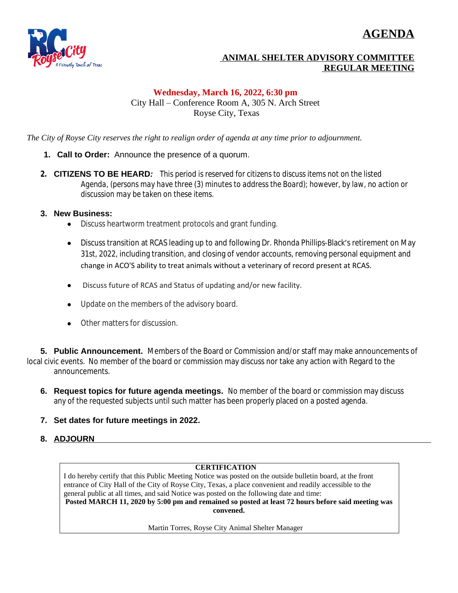# **AGENDA**



### **ANIMAL SHELTER ADVISORY COMMITTEE REGULAR MEETING**

#### **Wednesday, March 16, 2022, 6:30 pm** City Hall – Conference Room A, 305 N. Arch Street Royse City, Texas

*The City of Royse City reserves the right to realign order of agenda at any time prior to adjournment.*

- **1. Call to Order:** Announce the presence of a quorum.
- **2. CITIZENS TO BE HEARD***: This period is reserved for citizens to discuss items not on the listed Agenda, (persons may have three (3) minutes to address the Board); however, by law, no action or discussion may be taken on these items.*
- **3. New Business:**
	- Discuss heartworm treatment protocols and grant funding.
	- Discuss transition at RCAS leading up to and following Dr. Rhonda Phillips-Black's retirement on May 31st, 2022, including transition, and closing of vendor accounts, removing personal equipment and change in ACO'S ability to treat animals without a veterinary of record present at RCAS.
	- Discuss future of RCAS and Status of updating and/or new facility.
	- Update on the members of the advisory board.
	- Other matters for discussion.

**5. Public Announcement.** Members of the Board or Commission and/or staff may make announcements of local civic events. No member of the board or commission may discuss nor take any action with Regard to the announcements.

- **6. Request topics for future agenda meetings.** No member of the board or commission may discuss any of the requested subjects until such matter has been properly placed on a posted agenda.
- **7. Set dates for future meetings in 2022.**
- **8. ADJOURN**

#### **CERTIFICATION**

I do hereby certify that this Public Meeting Notice was posted on the outside bulletin board, at the front entrance of City Hall of the City of Royse City, Texas, a place convenient and readily accessible to the general public at all times, and said Notice was posted on the following date and time: **Posted MARCH 11, 2020 by 5:00 pm and remained so posted at least 72 hours before said meeting was convened.**

Martin Torres, Royse City Animal Shelter Manager